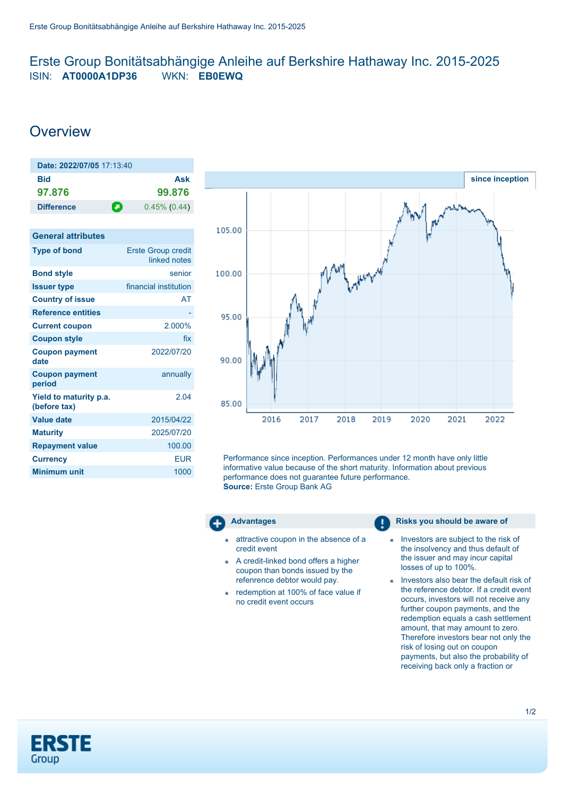# <span id="page-0-0"></span>Erste Group Bonitätsabhängige Anleihe auf Berkshire Hathaway Inc. 2015-2025 ISIN: **AT0000A1DP36** WKN: **EB0EWQ**

# **Overview**

| Date: 2022/07/05 17:13:40 |   |                 |
|---------------------------|---|-----------------|
| Bid                       |   | Ask             |
| 97.876                    |   | 99.876          |
| <b>Difference</b>         | О | $0.45\%$ (0.44) |

| <b>General attributes</b>              |                                           |
|----------------------------------------|-------------------------------------------|
| <b>Type of bond</b>                    | <b>Erste Group credit</b><br>linked notes |
| <b>Bond style</b>                      | senior                                    |
| <b>Issuer type</b>                     | financial institution                     |
| <b>Country of issue</b>                | AT                                        |
| <b>Reference entities</b>              |                                           |
| <b>Current coupon</b>                  | 2.000%                                    |
| <b>Coupon style</b>                    | fix                                       |
| <b>Coupon payment</b><br>date          | 2022/07/20                                |
| <b>Coupon payment</b><br>period        | annually                                  |
| Yield to maturity p.a.<br>(before tax) | 2.04                                      |
| <b>Value date</b>                      | 2015/04/22                                |
| <b>Maturity</b>                        | 2025/07/20                                |
| <b>Repayment value</b>                 | 100.00                                    |
| <b>Currency</b>                        | EUR                                       |
| <b>Minimum unit</b>                    | 1000                                      |
|                                        |                                           |



Performance since inception. Performances under 12 month have only little informative value because of the short maturity. Information about previous performance does not guarantee future performance. **Source:** Erste Group Bank AG



- attractive coupon in the absence of a credit event
- A credit-linked bond offers a higher coupon than bonds issued by the refenrence debtor would pay.
- redemption at 100% of face value if no credit event occurs

## **Advantages Risks** you should be aware of

- Investors are subject to the risk of the insolvency and thus default of the issuer and may incur capital losses of up to 100%.
- Investors also bear the default risk of the reference debtor. If a credit event occurs, investors will not receive any further coupon payments, and the redemption equals a cash settlement amount, that may amount to zero. Therefore investors bear not only the risk of losing out on coupon payments, but also the probability of receiving back only a fraction or